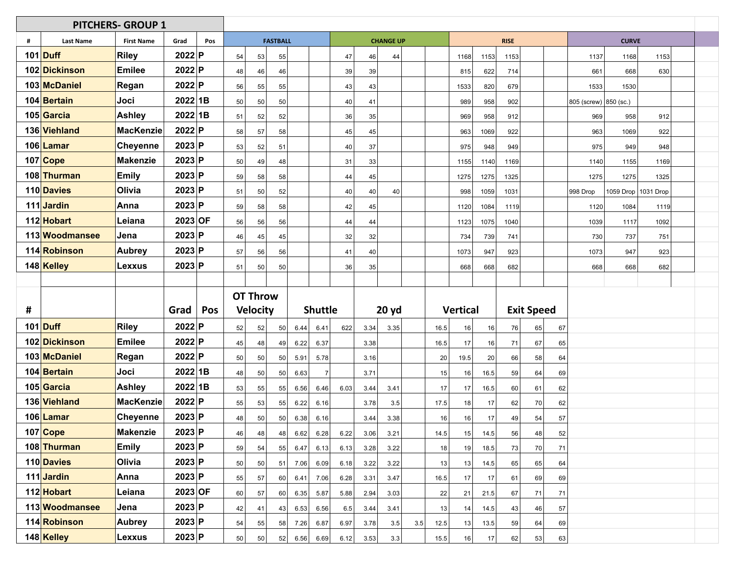| # | <b>Last Name</b> | <b>First Name</b> | Grad      | Pos | <b>FASTBALL</b> |                 |    | <b>CHANGE UP</b> |                |      |      |       |     | <b>RISE</b> |                 |      |      |                   |    |                       |      |                       |  |
|---|------------------|-------------------|-----------|-----|-----------------|-----------------|----|------------------|----------------|------|------|-------|-----|-------------|-----------------|------|------|-------------------|----|-----------------------|------|-----------------------|--|
|   | 101 Duff         | <b>Riley</b>      | 2022 P    |     | 54              | 53              | 55 |                  |                | 47   | 46   | 44    |     |             | 1168            | 1153 | 1153 |                   |    | 1137                  | 1168 | 1153                  |  |
|   | 102 Dickinson    | <b>Emilee</b>     | 2022 P    |     | 48              | 46              | 46 |                  |                | 39   | 39   |       |     |             | 815             | 622  | 714  |                   |    | 661                   | 668  | 630                   |  |
|   | 103 McDaniel     | Regan             | 2022 P    |     | 56              | 55              | 55 |                  |                | 43   | 43   |       |     |             | 1533            | 820  | 679  |                   |    | 1533                  | 1530 |                       |  |
|   | 104 Bertain      | Joci              | $2022$ 1B |     | 50              | 50              | 50 |                  |                | 40   | 41   |       |     |             | 989             | 958  | 902  |                   |    | 805 (screw) 850 (sc.) |      |                       |  |
|   | 105 Garcia       | <b>Ashley</b>     | 2022 1B   |     | 51              | 52              | 52 |                  |                | 36   | 35   |       |     |             | 969             | 958  | 912  |                   |    | 969                   | 958  | 912                   |  |
|   | 136 Viehland     | <b>MacKenzie</b>  | 2022 P    |     | 58              | 57              | 58 |                  |                | 45   | 45   |       |     |             | 963             | 1069 | 922  |                   |    | 963                   | 1069 | 922                   |  |
|   | 106 Lamar        | <b>Cheyenne</b>   | 2023 P    |     | 53              | 52              | 51 |                  |                | 40   | 37   |       |     |             | 975             | 948  | 949  |                   |    | 975                   | 949  | 948                   |  |
|   | 107 Cope         | <b>Makenzie</b>   | 2023 P    |     | 50              | 49              | 48 |                  |                | 31   | 33   |       |     |             | 1155            | 1140 | 1169 |                   |    | 1140                  | 1155 | 1169                  |  |
|   | 108 Thurman      | <b>Emily</b>      | 2023 P    |     | 59              | 58              | 58 |                  |                | 44   | 45   |       |     |             | 1275            | 1275 | 1325 |                   |    | 1275                  | 1275 | 1325                  |  |
|   | 110 Davies       | Olivia            | 2023 P    |     | 51              | 50              | 52 |                  |                | 40   | 40   | 40    |     |             | 998             | 1059 | 1031 |                   |    | 998 Drop              |      | 1059 Drop   1031 Drop |  |
|   | 111 Jardin       | Anna              | 2023 P    |     | 59              | 58              | 58 |                  |                | 42   | 45   |       |     |             | 1120            | 1084 | 1119 |                   |    | 1120                  | 1084 | 1119                  |  |
|   | 112 Hobart       | Leiana            | 2023 OF   |     | 56              | 56              | 56 |                  |                | 44   | 44   |       |     |             | 1123            | 1075 | 1040 |                   |    | 1039                  | 1117 | 1092                  |  |
|   | 113 Woodmansee   | Jena              | 2023 P    |     | 46              | 45              | 45 |                  |                | 32   | 32   |       |     |             | 734             | 739  | 741  |                   |    | 730                   | 737  | 751                   |  |
|   | 114 Robinson     | <b>Aubrey</b>     | 2023 P    |     | 57              | 56              | 56 |                  |                | 41   | 40   |       |     |             | 1073            | 947  | 923  |                   |    | 1073                  | 947  | 923                   |  |
|   | 148 Kelley       | Lexxus            | 2023 P    |     | 51              | 50              | 50 |                  |                | 36   | 35   |       |     |             | 668             | 668  | 682  |                   |    | 668                   | 668  | 682                   |  |
|   |                  |                   |           |     |                 |                 |    |                  |                |      |      |       |     |             |                 |      |      |                   |    |                       |      |                       |  |
|   |                  |                   |           |     |                 | <b>OT Throw</b> |    |                  |                |      |      |       |     |             |                 |      |      |                   |    |                       |      |                       |  |
| # |                  |                   | Grad      | Pos |                 | <b>Velocity</b> |    |                  | <b>Shuttle</b> |      |      | 20 yd |     |             | <b>Vertical</b> |      |      | <b>Exit Speed</b> |    |                       |      |                       |  |
|   | 101 Duff         | <b>Riley</b>      | 2022 P    |     | 52              | 52              | 50 | 6.44             | 6.41           | 622  | 3.34 | 3.35  |     | 16.5        | 16              | 16   | 76   | 65                | 67 |                       |      |                       |  |
|   | 102 Dickinson    | <b>Emilee</b>     | 2022 P    |     | 45              | 48              | 49 | 6.22             | 6.37           |      | 3.38 |       |     | 16.5        | 17              | 16   | 71   | 67                | 65 |                       |      |                       |  |
|   | 103 McDaniel     | Regan             | 2022 P    |     | 50              | 50              | 50 | 5.91             | 5.78           |      | 3.16 |       |     | 20          | 19.5            | 20   | 66   | 58                | 64 |                       |      |                       |  |
|   | 104 Bertain      | Joci              | 2022 1B   |     | 48              | 50              | 50 | 6.63             | $\overline{7}$ |      | 3.71 |       |     | 15          | 16              | 16.5 | 59   | 64                | 69 |                       |      |                       |  |
|   | 105 Garcia       | Ashley            | 2022 1B   |     | 53              | 55              | 55 | 6.56             | 6.46           | 6.03 | 3.44 | 3.41  |     | 17          | 17              | 16.5 | 60   | 61                | 62 |                       |      |                       |  |
|   | 136 Viehland     | MacKenzie         | 2022 P    |     | 55              | 53              | 55 | 6.22             | 6.16           |      | 3.78 | 3.5   |     | 17.5        | 18              | 17   | 62   | 70                | 62 |                       |      |                       |  |
|   | 106 Lamar        | <b>Cheyenne</b>   | 2023 P    |     | 48              | 50              | 50 | 6.38             | 6.16           |      | 3.44 | 3.38  |     | 16          | 16              | 17   | 49   | 54                | 57 |                       |      |                       |  |
|   | 107 Cope         | Makenzie          | $2023$ P  |     | 46              | 48              | 48 | 6.62             | 6.28           | 6.22 | 3.06 | 3.21  |     | 14.5        | 15              | 14.5 | 56   | 48                | 52 |                       |      |                       |  |
|   | 108 Thurman      | <b>Emily</b>      | 2023 P    |     | 59              | 54              | 55 | 6.47             | 6.13           | 6.13 | 3.28 | 3.22  |     | 18          | 19              | 18.5 | 73   | 70                | 71 |                       |      |                       |  |
|   | 110 Davies       | Olivia            | 2023 P    |     | 50              | 50              | 51 | 7.06             | 6.09           | 6.18 | 3.22 | 3.22  |     | 13          | 13              | 14.5 | 65   | 65                | 64 |                       |      |                       |  |
|   | 111 Jardin       | Anna              | 2023 P    |     | 55              | 57              | 60 | 6.41             | 7.06           | 6.28 | 3.31 | 3.47  |     | 16.5        | 17              | 17   | 61   | 69                | 69 |                       |      |                       |  |
|   | 112 Hobart       | Leiana            | $2023$ OF |     | 60              | 57              | 60 | 6.35             | 5.87           | 5.88 | 2.94 | 3.03  |     | 22          | 21              | 21.5 | 67   | 71                | 71 |                       |      |                       |  |
|   | 113 Woodmansee   | Jena              | 2023 P    |     | 42              | 41              | 43 | 6.53             | 6.56           | 6.5  | 3.44 | 3.41  |     | 13          | 14              | 14.5 | 43   | 46                | 57 |                       |      |                       |  |
|   | 114 Robinson     | <b>Aubrey</b>     | 2023 P    |     | 54              | 55              | 58 | 7.26             | 6.87           | 6.97 | 3.78 | 3.5   | 3.5 | 12.5        | 13              | 13.5 | 59   | 64                | 69 |                       |      |                       |  |
|   | 148 Kelley       | Lexxus            | 2023 P    |     | 50              | 50              | 52 | 6.56             | 6.69           | 6.12 | 3.53 | 3.3   |     | 15.5        | 16              | 17   | 62   | 53                | 63 |                       |      |                       |  |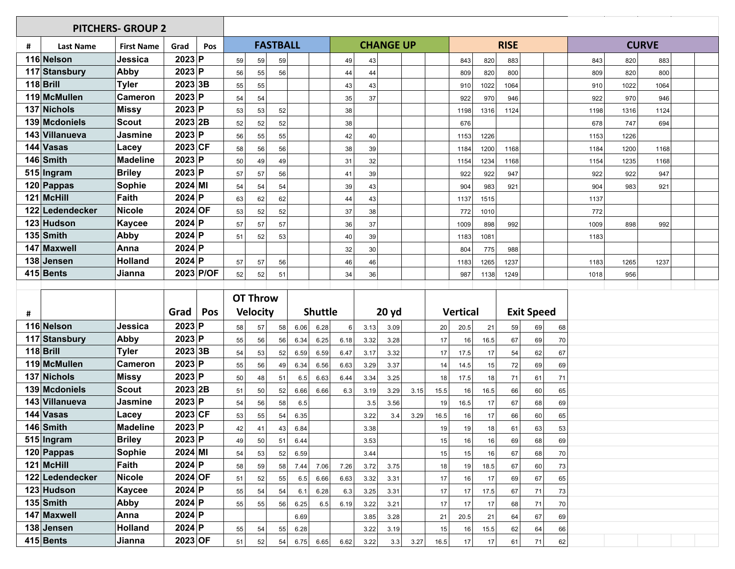| # | <b>Last Name</b>        | <b>First Name</b>        | Grad                  | Pos       |    |                 | <b>FASTBALL</b> |      | <b>CHANGE UP</b> |          |      |       |      | <b>RISE</b> |                 |      |      |                   |    | <b>CURVE</b> |      |      |  |
|---|-------------------------|--------------------------|-----------------------|-----------|----|-----------------|-----------------|------|------------------|----------|------|-------|------|-------------|-----------------|------|------|-------------------|----|--------------|------|------|--|
|   | 116 Nelson              | Jessica                  | 2023 P                |           | 59 | 59              | 59              |      |                  | 49       | 43   |       |      |             | 843             | 820  | 883  |                   |    | 843          | 820  | 883  |  |
|   | 117 Stansbury           | Abby                     | 2023 P                |           | 56 | 55              | 56              |      |                  | 44       | 44   |       |      |             | 809             | 820  | 800  |                   |    | 809          | 820  | 800  |  |
|   | $118$ Brill             | <b>Tyler</b>             | 2023 3B               |           | 55 | 55              |                 |      |                  | 43       | 43   |       |      |             | 910             | 1022 | 1064 |                   |    | 910          | 1022 | 1064 |  |
|   | 119 McMullen            | <b>Cameron</b>           | 2023 P                |           | 54 | 54              |                 |      |                  | 35       | 37   |       |      |             | 922             | 970  | 946  |                   |    | 922          | 970  | 946  |  |
|   | 137 Nichols             | <b>Missy</b>             | 2023 P                |           | 53 | 53              | 52              |      |                  | 38       |      |       |      |             | 1198            | 1316 | 1124 |                   |    | 1198         | 1316 | 1124 |  |
|   | 139 Mcdoniels           | <b>Scout</b>             | 2023 2B               |           | 52 | 52              | 52              |      |                  | 38       |      |       |      |             | 676             |      |      |                   |    | 678          | 747  | 694  |  |
|   | 143 Villanueva          | <b>Jasmine</b>           | 2023 P                |           | 56 | 55              | 55              |      |                  | 42       | 40   |       |      |             | 1153            | 1226 |      |                   |    | 1153         | 1226 |      |  |
|   | 144 Vasas               | Lacey                    | $2023$ CF             |           | 58 | 56              | 56              |      |                  | 38       | 39   |       |      |             | 1184            | 1200 | 1168 |                   |    | 1184         | 1200 | 1168 |  |
|   | 146 Smith               | <b>Madeline</b>          | 2023 P                |           | 50 | 49              | 49              |      |                  | 31       | 32   |       |      |             | 1154            | 1234 | 1168 |                   |    | 1154         | 1235 | 1168 |  |
|   | 515 Ingram              | <b>Briley</b>            | 2023 P                |           | 57 | 57              | 56              |      |                  | 41       | 39   |       |      |             | 922             | 922  | 947  |                   |    | 922          | 922  | 947  |  |
|   | 120 Pappas              | Sophie                   | 2024 MI               |           | 54 | 54              | 54              |      |                  | 39       | 43   |       |      |             | 904             | 983  | 921  |                   |    | 904          | 983  | 921  |  |
|   | 121 McHill              | <b>Faith</b>             | 2024 P                |           | 63 | 62              | 62              |      |                  | 44       | 43   |       |      |             | 1137            | 1515 |      |                   |    | 1137         |      |      |  |
|   | 122 Ledendecker         | <b>Nicole</b>            | 2024 OF               |           | 53 | 52              | 52              |      |                  | 37       | 38   |       |      |             | 772             | 1010 |      |                   |    | 772          |      |      |  |
|   | 123 Hudson              | <b>Kaycee</b>            | 2024 P                |           | 57 | 57              | 57              |      |                  | 36       | 37   |       |      |             | 1009            | 898  | 992  |                   |    | 1009         | 898  | 992  |  |
|   | $135$ Smith             | Abby                     | $2024$ P              |           | 51 | 52              | 53              |      |                  | 40       | 39   |       |      |             | 1183            | 1081 |      |                   |    | 1183         |      |      |  |
|   | 147 Maxwell             | Anna                     | 2024 P                |           |    |                 |                 |      |                  | 32       | 30   |       |      |             | 804             | 775  | 988  |                   |    |              |      |      |  |
|   | 138 Jensen              | <b>Holland</b>           | 2024 P                |           | 57 | 57              | 56              |      |                  | 46       | 46   |       |      |             | 1183            | 1265 | 1237 |                   |    | 1183         | 1265 | 1237 |  |
|   | 415 Bents               | Jianna                   |                       | 2023 P/OF | 52 | 52              | 51              |      |                  | 34       | 36   |       |      |             | 987             | 1138 | 1249 |                   |    | 1018         | 956  |      |  |
|   |                         |                          |                       |           |    |                 |                 |      |                  |          |      |       |      |             |                 |      |      |                   |    |              |      |      |  |
|   |                         |                          |                       |           |    |                 |                 |      |                  |          |      |       |      |             |                 |      |      |                   |    |              |      |      |  |
|   |                         |                          |                       |           |    | <b>OT Throw</b> |                 |      |                  |          |      |       |      |             |                 |      |      |                   |    |              |      |      |  |
| # |                         |                          | Grad                  | Pos       |    | <b>Velocity</b> |                 |      | <b>Shuttle</b>   |          |      | 20 yd |      |             | <b>Vertical</b> |      |      | <b>Exit Speed</b> |    |              |      |      |  |
|   | 116 Nelson              | Jessica                  | 2023 P                |           | 58 | 57              | 58              | 6.06 | 6.28             | $6 \mid$ | 3.13 | 3.09  |      | 20          | 20.5            | 21   | 59   | 69                | 68 |              |      |      |  |
|   | 117 Stansbury           | Abby                     | 2023 P                |           | 55 | 56              | 56              | 6.34 | 6.25             | 6.18     | 3.32 | 3.28  |      | 17          | 16              | 16.5 | 67   | 69                | 70 |              |      |      |  |
|   | $118$ Brill             | <b>Tyler</b>             | 2023 3B               |           | 54 | 53              | 52              | 6.59 | 6.59             | 6.47     | 3.17 | 3.32  |      | 17          | 17.5            | 17   | 54   | 62                | 67 |              |      |      |  |
|   | 119 McMullen            | <b>Cameron</b>           | 2023 P                |           | 55 | 56              | 49              | 6.34 | 6.56             | 6.63     | 3.29 | 3.37  |      | 14          | 14.5            | 15   | 72   | 69                | 69 |              |      |      |  |
|   | 137 Nichols             | <b>Missy</b>             | 2023 P                |           | 50 | 48              | 51              | 6.5  | 6.63             | 6.44     | 3.34 | 3.25  |      | 18          | 17.5            | 18   | 71   | 61                | 71 |              |      |      |  |
|   | 139 Mcdoniels           | <b>Scout</b>             | 2023 2B               |           | 51 | 50              | 52              | 6.66 | 6.66             | 6.3      | 3.19 | 3.29  | 3.15 | 15.5        | 16              | 16.5 | 66   | 60                | 65 |              |      |      |  |
|   | 143 Villanueva          | Jasmine                  | 2023 P                |           | 54 | 56              | 58              | 6.5  |                  |          | 3.5  | 3.56  |      | 19          | 16.5            | 17   | 67   | 68                | 69 |              |      |      |  |
|   | 144 Vasas               | Lacey                    | $2023$ CF             |           | 53 | 55              | 54              | 6.35 |                  |          | 3.22 | 3.4   | 3.29 | 16.5        | 16              | 17   | 66   | 60                | 65 |              |      |      |  |
|   | 146 Smith               | <b>Madeline</b>          | 2023 P                |           | 42 | 41              | 43              | 6.84 |                  |          | 3.38 |       |      | 19          | 19              | 18   | 61   | 63                | 53 |              |      |      |  |
|   | 515 Ingram              | <b>Briley</b>            | 2023 P                |           | 49 | 50              | 51              | 6.44 |                  |          | 3.53 |       |      | 15          | 16              | 16   | 69   | 68                | 69 |              |      |      |  |
|   | $120$ Pappas            | <b>Sophie</b>            | $2024$ MI             |           | 54 | 53              | 52              | 6.59 |                  |          | 3.44 |       |      | 15          | 15              | 16   | 67   | 68                | 70 |              |      |      |  |
|   | 121 McHill              | Faith                    | $2024$ P              |           | 58 | 59              | 58              | 7.44 | 7.06             | 7.26     | 3.72 | 3.75  |      | 18          | 19              | 18.5 | 67   | 60                | 73 |              |      |      |  |
|   | 122 Ledendecker         | <b>Nicole</b>            | $2024$ OF             |           | 51 | 52              | 55              | 6.5  | 6.66             | 6.63     | 3.32 | 3.31  |      | 17          | 16              | 17   | 69   | 67                | 65 |              |      |      |  |
|   | 123 Hudson              | <b>Kaycee</b>            | 2024 P                |           | 55 | 54              | 54              | 6.1  | 6.28             | 6.3      | 3.25 | 3.31  |      | 17          | 17              | 17.5 | 67   | 71                | 73 |              |      |      |  |
|   | $135$ Smith             | Abby                     | $2024$ P              |           | 55 | 55              | 56              | 6.25 | 6.5              | 6.19     | 3.22 | 3.21  |      | 17          | 17              | 17   | 68   | 71                | 70 |              |      |      |  |
|   | 147 Maxwell             | Anna                     | $2024$ P              |           |    |                 |                 | 6.69 |                  |          | 3.85 | 3.28  |      | 21          | 20.5            | 21   | 64   | 67                | 69 |              |      |      |  |
|   | 138 Jensen<br>415 Bents | <b>Holland</b><br>Jianna | $2024$ P<br>$2023$ OF |           | 55 | 54<br>52        | 55              | 6.28 |                  |          | 3.22 | 3.19  |      | 15          | 16              | 15.5 | 62   | 64                | 66 |              |      |      |  |